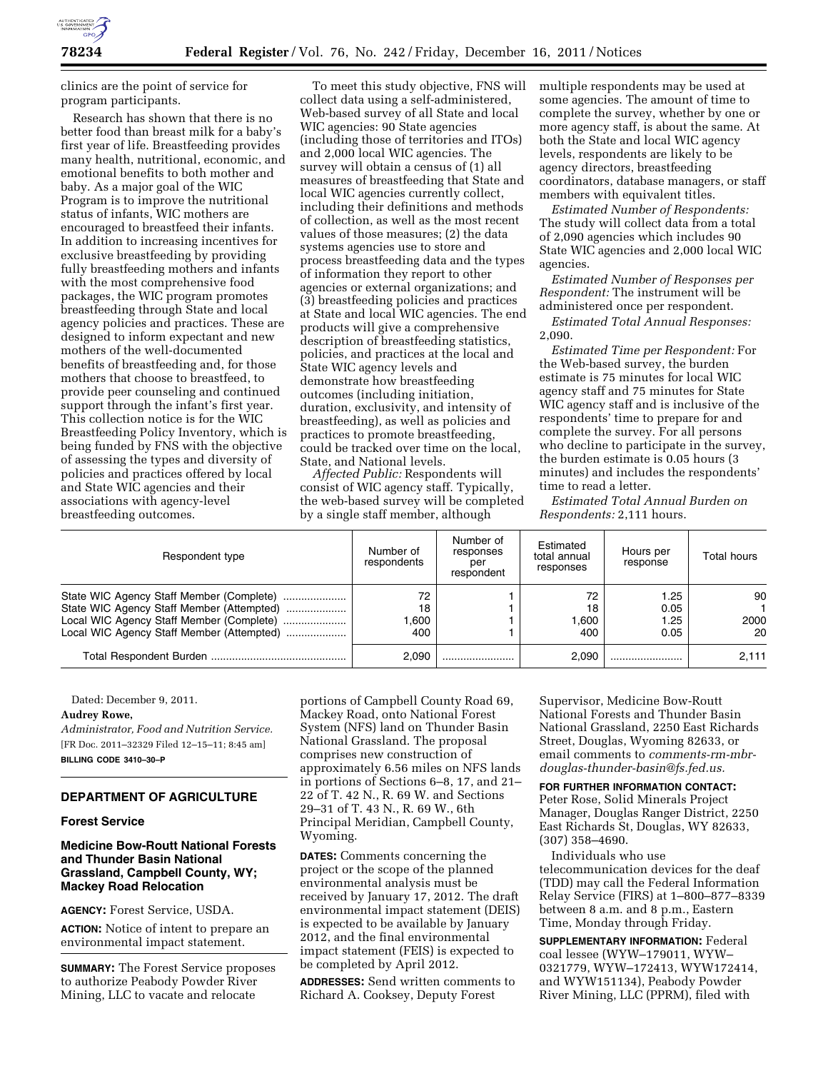

clinics are the point of service for program participants.

Research has shown that there is no better food than breast milk for a baby's first year of life. Breastfeeding provides many health, nutritional, economic, and emotional benefits to both mother and baby. As a major goal of the WIC Program is to improve the nutritional status of infants, WIC mothers are encouraged to breastfeed their infants. In addition to increasing incentives for exclusive breastfeeding by providing fully breastfeeding mothers and infants with the most comprehensive food packages, the WIC program promotes breastfeeding through State and local agency policies and practices. These are designed to inform expectant and new mothers of the well-documented benefits of breastfeeding and, for those mothers that choose to breastfeed, to provide peer counseling and continued support through the infant's first year. This collection notice is for the WIC Breastfeeding Policy Inventory, which is being funded by FNS with the objective of assessing the types and diversity of policies and practices offered by local and State WIC agencies and their associations with agency-level breastfeeding outcomes.

To meet this study objective, FNS will collect data using a self-administered, Web-based survey of all State and local WIC agencies: 90 State agencies (including those of territories and ITOs) and 2,000 local WIC agencies. The survey will obtain a census of (1) all measures of breastfeeding that State and local WIC agencies currently collect, including their definitions and methods of collection, as well as the most recent values of those measures; (2) the data systems agencies use to store and process breastfeeding data and the types of information they report to other agencies or external organizations; and (3) breastfeeding policies and practices at State and local WIC agencies. The end products will give a comprehensive description of breastfeeding statistics, policies, and practices at the local and State WIC agency levels and demonstrate how breastfeeding outcomes (including initiation, duration, exclusivity, and intensity of breastfeeding), as well as policies and practices to promote breastfeeding, could be tracked over time on the local, State, and National levels.

*Affected Public:* Respondents will consist of WIC agency staff. Typically, the web-based survey will be completed by a single staff member, although

multiple respondents may be used at some agencies. The amount of time to complete the survey, whether by one or more agency staff, is about the same. At both the State and local WIC agency levels, respondents are likely to be agency directors, breastfeeding coordinators, database managers, or staff members with equivalent titles.

*Estimated Number of Respondents:*  The study will collect data from a total of 2,090 agencies which includes 90 State WIC agencies and 2,000 local WIC agencies.

*Estimated Number of Responses per Respondent:* The instrument will be administered once per respondent.

*Estimated Total Annual Responses:*  2,090.

*Estimated Time per Respondent:* For the Web-based survey, the burden estimate is 75 minutes for local WIC agency staff and 75 minutes for State WIC agency staff and is inclusive of the respondents' time to prepare for and complete the survey. For all persons who decline to participate in the survey, the burden estimate is 0.05 hours (3 minutes) and includes the respondents' time to read a letter.

*Estimated Total Annual Burden on Respondents:* 2,111 hours.

| Respondent type                                                                                                                                                                | Number of<br>respondents | Number of<br>responses<br>per<br>respondent | Estimated<br>total annual<br>responses | Hours per<br>response        | Total hours      |
|--------------------------------------------------------------------------------------------------------------------------------------------------------------------------------|--------------------------|---------------------------------------------|----------------------------------------|------------------------------|------------------|
| State WIC Agency Staff Member (Complete)<br>State WIC Agency Staff Member (Attempted)<br>Local WIC Agency Staff Member (Complete)<br>Local WIC Agency Staff Member (Attempted) | 72<br>18<br>.600<br>400  |                                             | 72<br>18<br>.600<br>400                | 1.25<br>0.05<br>1.25<br>0.05 | 90<br>2000<br>20 |
|                                                                                                                                                                                | 2.090                    |                                             | 2.090                                  |                              | 2.111            |

Dated: December 9, 2011.

# **Audrey Rowe,**

*Administrator, Food and Nutrition Service.*  [FR Doc. 2011–32329 Filed 12–15–11; 8:45 am] **BILLING CODE 3410–30–P** 

# **DEPARTMENT OF AGRICULTURE**

## **Forest Service**

# **Medicine Bow-Routt National Forests and Thunder Basin National Grassland, Campbell County, WY; Mackey Road Relocation**

**AGENCY:** Forest Service, USDA.

**ACTION:** Notice of intent to prepare an environmental impact statement.

**SUMMARY:** The Forest Service proposes to authorize Peabody Powder River Mining, LLC to vacate and relocate

portions of Campbell County Road 69, Mackey Road, onto National Forest System (NFS) land on Thunder Basin National Grassland. The proposal comprises new construction of approximately 6.56 miles on NFS lands in portions of Sections 6–8, 17, and 21– 22 of T. 42 N., R. 69 W. and Sections 29–31 of T. 43 N., R. 69 W., 6th Principal Meridian, Campbell County, Wyoming.

**DATES:** Comments concerning the project or the scope of the planned environmental analysis must be received by January 17, 2012. The draft environmental impact statement (DEIS) is expected to be available by January 2012, and the final environmental impact statement (FEIS) is expected to be completed by April 2012.

**ADDRESSES:** Send written comments to Richard A. Cooksey, Deputy Forest

Supervisor, Medicine Bow-Routt National Forests and Thunder Basin National Grassland, 2250 East Richards Street, Douglas, Wyoming 82633, or email comments to *[comments-rm-mbr](mailto:comments-rm-mbr-douglas-thunder-basin@fs.fed.us)[douglas-thunder-basin@fs.fed.us.](mailto:comments-rm-mbr-douglas-thunder-basin@fs.fed.us)* 

## **FOR FURTHER INFORMATION CONTACT:**

Peter Rose, Solid Minerals Project Manager, Douglas Ranger District, 2250 East Richards St, Douglas, WY 82633, (307) 358–4690.

Individuals who use telecommunication devices for the deaf (TDD) may call the Federal Information Relay Service (FIRS) at 1–800–877–8339 between 8 a.m. and 8 p.m., Eastern Time, Monday through Friday.

**SUPPLEMENTARY INFORMATION:** Federal coal lessee (WYW–179011, WYW– 0321779, WYW–172413, WYW172414, and WYW151134), Peabody Powder River Mining, LLC (PPRM), filed with